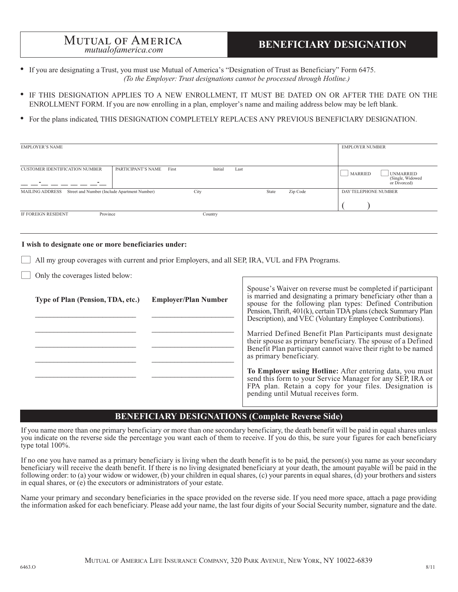# **MUTUAL OF AMERICA**<br>*mutualofamerica.com*<br>**BENEFICIARY DESIGNATION**

- 
- If you are designating a Trust, you must use Mutual of America's "Designation of Trust as Beneficiary" Form 6475. *(To the Employer: Trust designations cannot be processed through Hotline.)*
- IF THIS DESIGNATION APPLIES TO A NEW ENROLLMENT, IT MUST BE DATED ON OR AFTER THE DATE ON THE ENROLLMENT FORM. If you are now enrolling in a plan, employer's name and mailing address below may be left blank.
- For the plans indicated, THIS DESIGNATION COMPLETELY REPLACES ANY PREVIOUS BENEFICIARY DESIGNATION.

| <b>EMPLOYER'S NAME</b>                                                 |                             |                 |                   | <b>EMPLOYER NUMBER</b>                                                 |
|------------------------------------------------------------------------|-----------------------------|-----------------|-------------------|------------------------------------------------------------------------|
| <b>CUSTOMER IDENTIFICATION NUMBER</b><br>-                             | PARTICIPANT'S NAME<br>First | Initial<br>Last |                   | <b>MARRIED</b><br><b>UNMARRIED</b><br>(Single, Widowed<br>or Divorced) |
| Street and Number (Include Apartment Number)<br><b>MAILING ADDRESS</b> |                             | City            | Zip Code<br>State | DAY TELEPHONE NUMBER                                                   |
| Province<br>IF FOREIGN RESIDENT                                        |                             | Country         |                   |                                                                        |

#### **I wish to designate one or more beneficiaries under:**

- All my group coverages with current and prior Employers, and all SEP, IRA, VUL and FPA Programs.
- Only the coverages listed below:

| Type of Plan (Pension, TDA, etc.) | <b>Employer/Plan Number</b> | Spouse's Waiver on reverse must be completed if participant<br>is married and designating a primary beneficiary other than a<br>spouse for the following plan types: Defined Contribution<br>Pension, Thrift, 401(k), certain TDA plans (check Summary Plan<br>Description), and VEC (Voluntary Employee Contributions). |
|-----------------------------------|-----------------------------|--------------------------------------------------------------------------------------------------------------------------------------------------------------------------------------------------------------------------------------------------------------------------------------------------------------------------|
|                                   |                             | Married Defined Benefit Plan Participants must designate<br>their spouse as primary beneficiary. The spouse of a Defined<br>Benefit Plan participant cannot waive their right to be named<br>as primary beneficiary.                                                                                                     |
|                                   |                             | To Employer using Hotline: After entering data, you must<br>send this form to your Service Manager for any SEP, IRA or<br>FPA plan. Retain a copy for your files. Designation is pending until Mutual receives form.                                                                                                     |

## **BENEFICIARY DESIGNATIONS (Complete Reverse Side)**

If you name more than one primary beneficiary or more than one secondary beneficiary, the death benefit will be paid in equal shares unless you indicate on the reverse side the percentage you want each of them to receive. If you do this, be sure your figures for each beneficiary type total 100%.

If no one you have named as a primary beneficiary is living when the death benefit is to be paid, the person(s) you name as your secondary beneficiary will receive the death benefit. If there is no living designated beneficiary at your death, the amount payable will be paid in the following order: to (a) your widow or widower, (b) your children in equal shares, (c) your parents in equal shares, (d) your brothers and sisters in equal shares, or (e) the executors or administrators of your estate.

Name your primary and secondary beneficiaries in the space provided on the reverse side. If you need more space, attach a page providing the information asked for each beneficiary. Please add your name, the last four digits of your Social Security number, signature and the date.